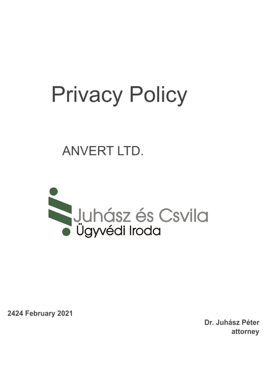# **Privacy Policy**

# ANVERT LTD.



**2424 February 2021** 

Dr. Juhász Péter attorney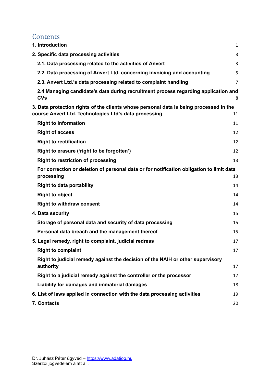# **Contents**

| 1. Introduction  |                                                                                                                                                 | $\mathbf{1}$ |
|------------------|-------------------------------------------------------------------------------------------------------------------------------------------------|--------------|
|                  | 2. Specific data processing activities                                                                                                          | 3            |
|                  | 2.1. Data processing related to the activities of Anvert                                                                                        | 3            |
|                  | 2.2. Data processing of Anvert Ltd. concerning invoicing and accounting                                                                         | 5            |
|                  | 2.3. Anvert Ltd.'s data processing related to complaint handling                                                                                | 7            |
| <b>CVs</b>       | 2.4 Managing candidate's data during recruitment process regarding application and                                                              | 8            |
|                  | 3. Data protection rights of the clients whose personal data is being processed in the<br>course Anvert Ltd. Technologies Ltd's data processing | 11           |
|                  | <b>Right to Information</b>                                                                                                                     | 11           |
|                  | <b>Right of access</b>                                                                                                                          | 12           |
|                  | <b>Right to rectification</b>                                                                                                                   | 12           |
|                  | Right to erasure ('right to be forgotten')                                                                                                      | 12           |
|                  | <b>Right to restriction of processing</b>                                                                                                       | 13           |
| processing       | For correction or deletion of personal data or for notification obligation to limit data                                                        | 13           |
|                  | <b>Right to data portability</b>                                                                                                                | 14           |
|                  | <b>Right to object</b>                                                                                                                          | 14           |
|                  | <b>Right to withdraw consent</b>                                                                                                                | 14           |
| 4. Data security |                                                                                                                                                 | 15           |
|                  | Storage of personal data and security of data processing                                                                                        | 15           |
|                  | Personal data breach and the management thereof                                                                                                 | 15           |
|                  | 5. Legal remedy, right to complaint, judicial redress                                                                                           | 17           |
|                  | <b>Right to complaint</b>                                                                                                                       | 17           |
| authority        | Right to judicial remedy against the decision of the NAIH or other supervisory                                                                  | 17           |
|                  | Right to a judicial remedy against the controller or the processor                                                                              | 17           |
|                  | Liability for damages and immaterial damages                                                                                                    | 18           |
|                  | 6. List of laws applied in connection with the data processing activities                                                                       | 19           |
| 7. Contacts      |                                                                                                                                                 | 20           |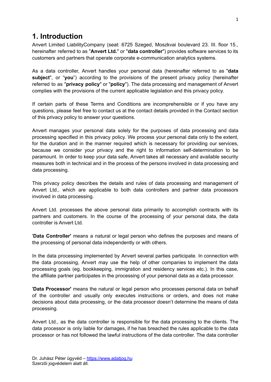# <span id="page-2-0"></span>**1. Introduction**

Anvert Limited LiabilityCompany (seat: 6725 Szeged, Moszkvai boulevard 23. III. floor 15., hereinafter referred to as "**Anvert Ltd.**" or "**data controller**") provides software services to its customers and partners that operate corporate e-communication analytics systems.

As a data controller, Anvert handles your personal data (hereinafter referred to as "**data subject**", or "**you**") according to the provisions of the present privacy policy (hereinafter referred to as "**privacy policy**" or "**policy**"). The data processing and management of Anvert complies with the provisions of the current applicable legislation and this privacy policy.

If certain parts of these Terms and Conditions are incomprehensible or if you have any questions, please feel free to contact us at the contact details provided in the Contact section of this privacy policy to answer your questions.

Anvert manages your personal data solely for the purposes of data processing and data processing specified in this privacy policy. We process your personal data only to the extent, for the duration and in the manner required which is necessary for providing our services, because we consider your privacy and the right to information self-determination to be paramount. In order to keep your data safe, Anvert takes all necessary and available security measures both in technical and in the process of the persons involved in data processing and data processing.

This privacy policy describes the details and rules of data processing and management of Anvert Ltd., which are applicable to both data controllers and partner data processors involved in data processing.

Anvert Ltd. processes the above personal data primarily to accomplish contracts with its partners and customers. In the course of the processing of your personal data, the data controller is Anvert Ltd.

'**Data Controller'** means a natural or legal person who defines the purposes and means of the processing of personal data independently or with others.

In the data processing implemented by Anvert several parties participate. In connection with the data processing, Anvert may use the help of other companies to implement the data processing goals (eg. bookkeeping, immigration and residency services etc.). In this case, the affiliate partner participates in the processing of your personal data as a data processor.

'**Data Processor'** means the natural or legal person who processes personal data on behalf of the controller and usually only executes instructions or orders, and does not make decisions about data processing, or the data processor doesn't determine the means of data processing.

Anvert Ltd., as the data controller is responsible for the data processing to the clients. The data processor is only liable for damages, if he has breached the rules applicable to the data processor or has not followed the lawful instructions of the data controller. The data controller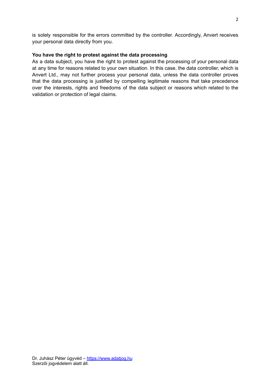is solely responsible for the errors committed by the controller. Accordingly, Anvert receives your personal data directly from you.

#### **You have the right to protest against the data processing**

As a data subject, you have the right to protest against the processing of your personal data at any time for reasons related to your own situation. In this case, the data controller, which is Anvert Ltd., may not further process your personal data, unless the data controller proves that the data processing is justified by compelling legitimate reasons that take precedence over the interests, rights and freedoms of the data subject or reasons which related to the validation or protection of legal claims.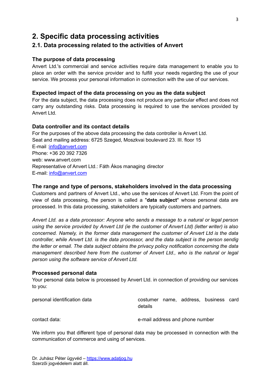# <span id="page-4-0"></span>**2. Specific data processing activities**

# <span id="page-4-1"></span>**2.1. Data processing related to the activities of Anvert**

# **The purpose of data processing**

Anvert Ltd.'s commercial and service activities require data management to enable you to place an order with the service provider and to fulfill your needs regarding the use of your service. We process your personal information in connection with the use of our services.

# **Expected impact of the data processing on you as the data subject**

For the data subject, the data processing does not produce any particular effect and does not carry any outstanding risks. Data processing is required to use the services provided by Anvert Ltd.

#### **Data controller and its contact details**

For the purposes of the above data processing the data controller is Anvert Ltd. Seat and mailing address: 6725 Szeged, Moszkvai boulevard 23. III. floor 15 E-mail [:info@anvert.com](mailto:info@elservices.hu) Phone: +36 20 392 7326 web: www.anvert.com Representative of Anvert Ltd.: Fáth Ákos managing director E-mail: [info@anvert.com](mailto:info@elservices.hu)

#### **The range and type of persons, stakeholders involved in the data processing**

Customers and partners of Anvert Ltd., who use the services of Anvert Ltd. From the point of view of data processing, the person is called a "**data subject**" whose personal data are processed. In this data processing, stakeholders are typically customers and partners.

*Anvert Ltd. as a data processor: Anyone who sends a message to a natural or legal person using the service provided by Anvert Ltd (ie the customer of Anvert Ltd) (letter writer) is also concerned. Namely, in the former data management the customer of Anvert Ltd is the data controller, while Anvert Ltd. is the data processor, and the data subject is the person sendig the letter or email. The data subject obtains the privacy policy notification concerning the data management described here from the customer of Anvert Ltd., who is the natural or legal person using the software service of Anvert Ltd.*

# **Processed personal data**

Your personal data below is processed by Anvert Ltd. in connection of providing our services to you:

| personal identification data | costumer name, address, business card<br>details |
|------------------------------|--------------------------------------------------|
| contact data:                | e-mail address and phone number                  |

We inform you that different type of personal data may be processed in connection with the communication of commerce and using of services.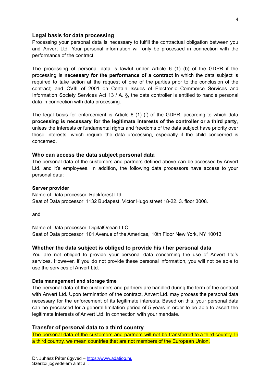#### **Legal basis for data processing**

Processing your personal data is necessary to fulfill the contractual obligation between you and Anvert Ltd. Your personal information will only be processed in connection with the performance of the contract.

The processing of personal data is lawful under Article 6 (1) (b) of the GDPR if the processing is **necessary for the performance of a contract** in which the data subject is required to take action at the request of one of the parties prior to the conclusion of the contract; and CVIII of 2001 on Certain Issues of Electronic Commerce Services and Information Society Services Act 13 / A. §, the data controller is entitled to handle personal data in connection with data processing.

The legal basis for enforcement is Article 6 (1) (f) of the GDPR, according to which data **processing is necessary for the legitimate interests of the controller or a third party**, unless the interests or fundamental rights and freedoms of the data subject have priority over those interests, which require the data processing, especially if the child concerned is concerned.

#### **Who can access the data subject personal data**

The personal data of the customers and partners defined above can be accessed by Anvert Ltd. and it's employees. In addition, the following data processors have access to your personal data:

#### **Server provider**

Name of Data processor: Rackforest Ltd. Seat of Data processor: 1132 Budapest, Victor Hugo street 18-22. 3. floor 3008.

and

Name of Data processor: DigitalOcean LLC Seat of Data processor: 101 Avenue of the Americas, 10th Floor New York, NY 10013

#### **Whether the data subject is obliged to provide his / her personal data**

You are not obliged to provide your personal data concerning the use of Anvert Ltd's services. However, if you do not provide these personal information, you will not be able to use the services of Anvert Ltd.

#### **Data management and storage time**

The personal data of the customers and partners are handled during the term of the contract with Anvert Ltd. Upon termination of the contract, Anvert Ltd. may process the personal data necessary for the enforcement of its legitimate interests. Based on this, your personal data can be processed for a general limitation period of 5 years in order to be able to assert the legitimate interests of Anvert Ltd. in connection with your mandate.

#### **Transfer of personal data to a third country**

The personal data of the customers and partners will not be transferred to a third country. In a third country, we mean countries that are not members of the European Union.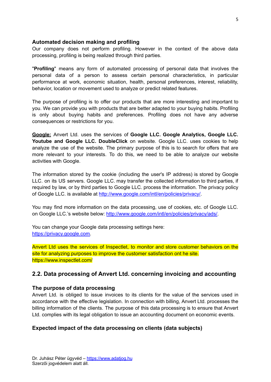#### **Automated decision making and profiling**

Our company does not perform profiling. However in the context of the above data processing, profiling is being realized through third parties.

"**Profiling**" means any form of automated processing of personal data that involves the personal data of a person to assess certain personal characteristics, in particular performance at work, economic situation, health, personal preferences, interest, reliability, behavior, location or movement used to analyze or predict related features.

The purpose of profiling is to offer our products that are more interesting and important to you. We can provide you with products that are better adapted to your buying habits. Profiling is only about buying habits and preferences. Profiling does not have any adverse consequences or restrictions for you.

**Google:** Anvert Ltd. uses the services of **Google LLC. Google Analytics, Google LLC. Youtube and Google LLC. DoubleClick** on website. Google LLC. uses cookies to help analyze the use of the website. The primary purpose of this is to search for offers that are more relevant to your interests. To do this, we need to be able to analyze our website activities with Google.

The information stored by the cookie (including the user's IP address) is stored by Google LLC. on its US servers. Google LLC. may transfer the collected information to third parties, if required by law, or by third parties to Google LLC. process the information. The privacy policy of Google LLC. is available at <http://www.google.com/intl/en/policies/privacy/>.

You may find more information on the data processing, use of cookies, etc. of Google LLC. on Google LLC.'s website below: <http://www.google.com/intl/en/policies/privacy/ads/>.

You can change your Google data processing settings here: [https://privacy.google.com.](https://privacy.google.com)

Anvert Ltd uses the services of Inspectlet, to monitor and store customer behaviors on the site for analyzing purposes to improve the customer satisfaction ont he site. https://www.inspectlet.com/

# <span id="page-6-0"></span>**2.2. Data processing of Anvert Ltd. concerning invoicing and accounting**

#### **The purpose of data processing**

Anvert Ltd. is obliged to issue invoices to its clients for the value of the services used in accordance with the effective legislation. In connection with billing, Anvert Ltd. processes the billing information of the clients. The purpose of this data processing is to ensure that Anvert Ltd. complies with its legal obligation to issue an accounting document on economic events.

# **Expected impact of the data processing on clients (data subjects)**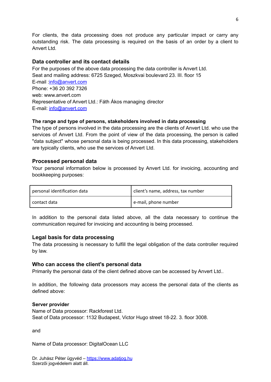For clients, the data processing does not produce any particular impact or carry any outstanding risk. The data processing is required on the basis of an order by a client to Anvert Ltd.

### **Data controller and its contact details**

For the purposes of the above data processing the data controller is Anvert Ltd. Seat and mailing address: 6725 Szeged, Moszkvai boulevard 23. III. floor 15 E-mail [:info@anvert.com](mailto:info@elservices.hu) Phone: +36 20 392 7326 web: www.anvert.com Representative of Anvert Ltd.: Fáth Ákos managing director E-mail: [info@anvert.com](mailto:info@elservices.hu)

#### **The range and type of persons, stakeholders involved in data processing**

The type of persons involved in the data processing are the clients of Anvert Ltd. who use the services of Anvert Ltd. From the point of view of the data processing, the person is called "data subject" whose personal data is being processed. In this data processing, stakeholders are typically clients, who use the services of Anvert Ltd.

#### **Processed personal data**

Your personal information below is processed by Anvert Ltd. for invoicing, accounting and bookkeeping purposes:

| personal identification data | client's name, address, tax number |
|------------------------------|------------------------------------|
| contact data                 | e-mail, phone number               |

In addition to the personal data listed above, all the data necessary to continue the communication required for invoicing and accounting is being processed.

#### **Legal basis for data processing**

The data processing is necessary to fulfill the legal obligation of the data controller required by law.

#### **Who can access the client's personal data**

Primarily the personal data of the client defined above can be accessed by Anvert Ltd..

In addition, the following data processors may access the personal data of the clients as defined above:

#### **Server provider**

Name of Data processor: Rackforest Ltd. Seat of Data processor: 1132 Budapest, Victor Hugo street 18-22. 3. floor 3008.

and

Name of Data processor: DigitalOcean LLC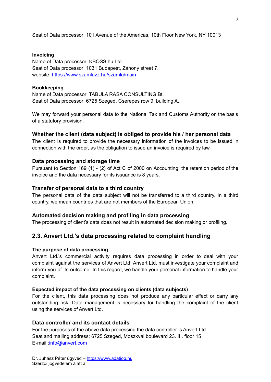Seat of Data processor: 101 Avenue of the Americas, 10th Floor New York, NY 10013

#### **Invoicing**

Name of Data processor: KBOSS.hu Ltd. Seat of Data processor: 1031 Budapest, Záhony street 7. website: <https://www.szamlazz.hu/szamla/main>

#### **Bookkeeping**

Name of Data processor: TABULA RASA CONSULTING Bt. Seat of Data processor: 6725 Szeged, Cserepes row 9. building A.

We may forward your personal data to the National Tax and Customs Authority on the basis of a statutory provision.

#### **Whether the client (data subject) is obliged to provide his / her personal data**

The client is required to provide the necessary information of the invoices to be issued in connection with the order, as the obligation to issue an invoice is required by law.

#### **Data processing and storage time**

Pursuant to Section 169 (1) - (2) of Act C of 2000 on Accounting, the retention period of the invoice and the data necessary for its issuance is 8 years.

#### **Transfer of personal data to a third country**

The personal data of the data subject will not be transferred to a third country. In a third country, we mean countries that are not members of the European Union.

#### **Automated decision making and profiling in data processing**

The processing of client's data does not result in automated decision making or profiling.

#### <span id="page-8-0"></span>**2.3. Anvert Ltd.'s data processing related to complaint handling**

#### **The purpose of data processing**

Anvert Ltd.'s commercial activity requires data processing in order to deal with your complaint against the services of Anvert Ltd. Anvert Ltd. must investigate your complaint and inform you of its outcome. In this regard, we handle your personal information to handle your complaint.

#### **Expected impact of the data processing on clients (data subjects)**

For the client, this data processing does not produce any particular effect or carry any outstanding risk. Data management is necessary for handling the complaint of the client using the services of Anvert Ltd.

#### **Data controller and its contact details**

For the purposes of the above data processing the data controller is Anvert Ltd. Seat and mailing address: 6725 Szeged, Moszkvai boulevard 23. III. floor 15 E-mail:*info@anvert.com*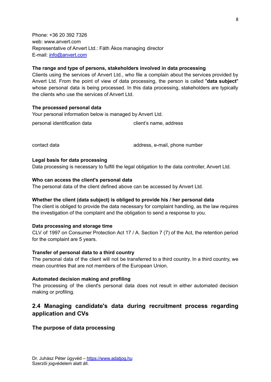Phone: +36 20 392 7326 web: www.anvert.com Representative of Anvert Ltd.: Fáth Ákos managing director E-mail: [info@anvert.com](mailto:info@elservices.hu)

#### **The range and type of persons, stakeholders involved in data processing**

Clients using the services of Anvert Ltd., who file a complain about the services provided by Anvert Ltd. From the point of view of data processing, the person is called "**data subject**" whose personal data is being processed. In this data processing, stakeholders are typically the clients who use the services of Anvert Ltd.

#### **The processed personal data**

Your personal information below is managed by Anvert Ltd.

personal identification data entity and client's name, address

contact data and address, e-mail, phone number

#### **Legal basis for data processing**

Data processing is necessary to fulfill the legal obligation to the data controller, Anvert Ltd.

#### **Who can access the client's personal data**

The personal data of the client defined above can be accessed by Anvert Ltd.

#### **Whether the client (data subject) is obliged to provide his / her personal data**

The client is obliged to provide the data necessary for complaint handling, as the law requires the investigation of the complaint and the obligation to send a response to you.

#### **Data processing and storage time**

CLV of 1997 on Consumer Protection Act 17 / A. Section 7 (7) of the Act, the retention period for the complaint are 5 years.

#### **Transfer of personal data to a third country**

The personal data of the client will not be transferred to a third country. In a third country, we mean countries that are not members of the European Union.

#### **Automated decision making and profiling**

The processing of the client's personal data does not result in either automated decision making or profiling.

# <span id="page-9-0"></span>**2.4 Managing candidate's data during recruitment process regarding application and CVs**

#### **The purpose of data processing**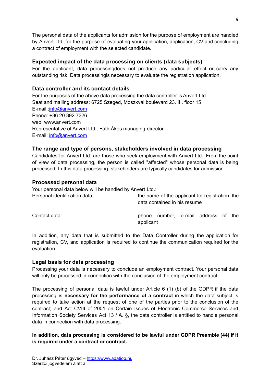The personal data of the applicants for admission for the purpose of employment are handled by Anvert Ltd. for the purpose of evaluating your application, application, CV and concluding a contract of employment with the selected candidate.

# **Expected impact of the data processing on clients (data subjects)**

For the applicant, data processingdoes not produce any particular effect or carry any outstanding risk. Data processingis necessary to evaluate the registration application.

# **Data controller and its contact details**

For the purposes of the above data processing the data controller is Anvert Ltd. Seat and mailing address: 6725 Szeged, Moszkvai boulevard 23. III. floor 15 E-mail [:info@anvert.com](mailto:info@elservices.hu) Phone: +36 20 392 7326 web: www.anvert.com Representative of Anvert Ltd.: Fáth Ákos managing director E-mail: [info@anvert.com](mailto:info@elservices.hu)

# **The range and type of persons, stakeholders involved in data processing**

Candidates for Anvert Ltd. are those who seek employment with Anvert Ltd.. From the point of view of data processing, the person is called "affected" whose personal data is being processed. In this data processing, stakeholders are typically candidates for admission.

# **Processed personal data**

Your personal data below will be handled by Anvert Ltd.: Personal identification data: the name of the applicant for registration, the data contained in his resume Contact data: phone number, e-mail address of the applicant

In addition, any data that is submitted to the Data Controller during the application for registration, CV, and application is required to continue the communication required for the evaluation.

# **Legal basis for data processing**

Processing your data is necessary to conclude an employment contract. Your personal data will only be processed in connection with the conclusion of the employment contract.

The processing of personal data is lawful under Article 6 (1) (b) of the GDPR if the data processing is **necessary for the performance of a contract** in which the data subject is required to take action at the request of one of the parties prior to the conclusion of the contract; and Act CVIII of 2001 on Certain Issues of Electronic Commerce Services and Information Society Services Act 13 / A. §, the data controller is entitled to handle personal data in connection with data processing.

**In addition, data processing is considered to be lawful under GDPR Preamble (44) if it is required under a contract or contract.**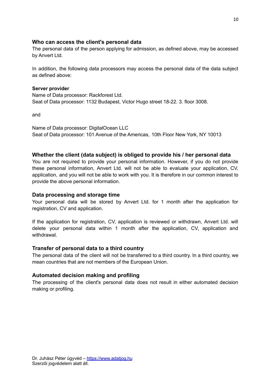#### **Who can access the client's personal data**

The personal data of the person applying for admission, as defined above, may be accessed by Anvert Ltd.

In addition, the following data processors may access the personal data of the data subject as defined above:

#### **Server provider**

Name of Data processor: Rackforest Ltd. Seat of Data processor: 1132 Budapest, Victor Hugo street 18-22. 3. floor 3008.

and

Name of Data processor: DigitalOcean LLC Seat of Data processor: 101 Avenue of the Americas, 10th Floor New York, NY 10013

#### **Whether the client (data subject) is obliged to provide his / her personal data**

You are not required to provide your personal information. However, if you do not provide these personal information, Anvert Ltd. will not be able to evaluate your application, CV, application, and you will not be able to work with you. It is therefore in our common interest to provide the above personal information.

#### **Data processing and storage time**

Your personal data will be stored by Anvert Ltd. for 1 month after the application for registration, CV and application.

If the application for registration, CV, application is reviewed or withdrawn, Anvert Ltd. will delete your personal data within 1 month after the application, CV, application and withdrawal.

#### **Transfer of personal data to a third country**

The personal data of the client will not be transferred to a third country. In a third country, we mean countries that are not members of the European Union.

# **Automated decision making and profiling**

The processing of the client's personal data does not result in either automated decision making or profiling.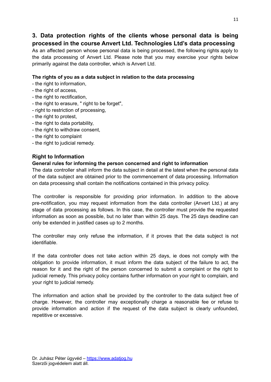# <span id="page-12-0"></span>**3. Data protection rights of the clients whose personal data is being processed in the course Anvert Ltd. Technologies Ltd's data processing**

As an affected person whose personal data is being processed, the following rights apply to the data processing of Anvert Ltd. Please note that you may exercise your rights below primarily against the data controller, which is Anvert Ltd.

# **The rights of you as a data subject in relation to the data processing**

- the right to information,
- the right of access,
- the right to rectification,
- the right to erasure, " right to be forget",
- right to restriction of processing,
- the right to protest,
- the right to data portability,
- the right to withdraw consent,
- the right to complaint
- the right to judicial remedy.

# <span id="page-12-1"></span>**Right to Information**

#### **General rules for informing the person concerned and right to information**

The data controller shall inform the data subject in detail at the latest when the personal data of the data subject are obtained prior to the commencement of data processing. Information on data processing shall contain the notifications contained in this privacy policy.

The controller is responsible for providing prior information. In addition to the above pre-notification, you may request information from the data controller (Anvert Ltd.) at any stage of data processing as follows. In this case, the controller must provide the requested information as soon as possible, but no later than within 25 days. The 25 days deadline can only be extended in justified cases up to 2 months.

The controller may only refuse the information, if it proves that the data subject is not identifiable.

If the data controller does not take action within 25 days, ie does not comply with the obligation to provide information, it must inform the data subject of the failure to act, the reason for it and the right of the person concerned to submit a complaint or the right to judicial remedy. This privacy policy contains further information on your right to complain, and your right to judicial remedy.

The information and action shall be provided by the controller to the data subject free of charge. However, the controller may exceptionally charge a reasonable fee or refuse to provide information and action if the request of the data subject is clearly unfounded, repetitive or excessive.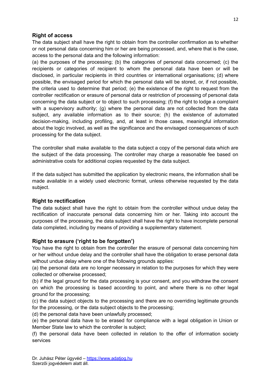# <span id="page-13-0"></span>**Right of access**

The data subject shall have the right to obtain from the controller confirmation as to whether or not personal data concerning him or her are being processed, and, where that is the case, access to the personal data and the following information:

(a) the purposes of the processing; (b) the categories of personal data concerned; (c) the recipients or categories of recipient to whom the personal data have been or will be disclosed, in particular recipients in third countries or international organisations; (d) where possible, the envisaged period for which the personal data will be stored, or, if not possible, the criteria used to determine that period; (e) the existence of the right to request from the controller rectification or erasure of personal data or restriction of processing of personal data concerning the data subject or to object to such processing; (f) the right to lodge a complaint with a supervisory authority; (g) where the personal data are not collected from the data subject, any available information as to their source; (h) the existence of automated decision-making, including profiling, and, at least in those cases, meaningful information about the logic involved, as well as the significance and the envisaged consequences of such processing for the data subject.

The controller shall make available to the data subject a copy of the personal data which are the subject of the data processing. The controller may charge a reasonable fee based on administrative costs for additional copies requested by the data subject.

If the data subject has submitted the application by electronic means, the information shall be made available in a widely used electronic format, unless otherwise requested by the data subject.

# <span id="page-13-1"></span>**Right to rectification**

The data subject shall have the right to obtain from the controller without undue delay the rectification of inaccurate personal data concerning him or her. Taking into account the purposes of the processing, the data subject shall have the right to have incomplete personal data completed, including by means of providing a supplementary statement.

# <span id="page-13-2"></span>**Right to erasure ('right to be forgotten')**

You have the right to obtain from the controller the erasure of personal data concerning him or her without undue delay and the controller shall have the obligation to erase personal data without undue delay where one of the following grounds applies:

(a) the personal data are no longer necessary in relation to the purposes for which they were collected or otherwise processed;

(b) if the legal ground for the data processing is your consent, and you withdraw the consent on which the processing is based according to point, and where there is no other legal ground for the processing;

(c) the data subject objects to the processing and there are no overriding legitimate grounds for the processing, or the data subject objects to the processing;

(d) the personal data have been unlawfully processed;

(e) the personal data have to be erased for compliance with a legal obligation in Union or Member State law to which the controller is subject;

(f) the personal data have been collected in relation to the offer of information society services

12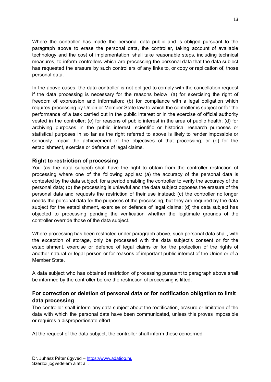Where the controller has made the personal data public and is obliged pursuant to the paragraph above to erase the personal data, the controller, taking account of available technology and the cost of implementation, shall take reasonable steps, including technical measures, to inform controllers which are processing the personal data that the data subject has requested the erasure by such controllers of any links to, or copy or replication of, those personal data.

In the above cases, the data controller is not obliged to comply with the cancellation request if the data processing is necessary for the reasons below: (a) for exercising the right of freedom of expression and information; (b) for compliance with a legal obligation which requires processing by Union or Member State law to which the controller is subject or for the performance of a task carried out in the public interest or in the exercise of official authority vested in the controller; (c) for reasons of public interest in the area of public health; (d) for archiving purposes in the public interest, scientific or historical research purposes or statistical purposes in so far as the right referred to above is likely to render impossible or seriously impair the achievement of the objectives of that processing; or (e) for the establishment, exercise or defence of legal claims.

# <span id="page-14-0"></span>**Right to restriction of processing**

You (as the data subject) shall have the right to obtain from the controller restriction of processing where one of the following applies: (a) the accuracy of the personal data is contested by the data subject, for a period enabling the controller to verify the accuracy of the personal data; (b) the processing is unlawful and the data subject opposes the erasure of the personal data and requests the restriction of their use instead; (c) the controller no longer needs the personal data for the purposes of the processing, but they are required by the data subject for the establishment, exercise or defence of legal claims; (d) the data subject has objected to processing pending the verification whether the legitimate grounds of the controller override those of the data subject.

Where processing has been restricted under paragraph above, such personal data shall, with the exception of storage, only be processed with the data subject's consent or for the establishment, exercise or defence of legal claims or for the protection of the rights of another natural or legal person or for reasons of important public interest of the Union or of a Member State.

A data subject who has obtained restriction of processing pursuant to paragraph above shall be informed by the controller before the restriction of processing is lifted.

# <span id="page-14-1"></span>**For correction or deletion of personal data or for notification obligation to limit data processing**

The controller shall inform any data subject about the rectification, erasure or limitation of the data with which the personal data have been communicated, unless this proves impossible or requires a disproportionate effort.

At the request of the data subject, the controller shall inform those concerned.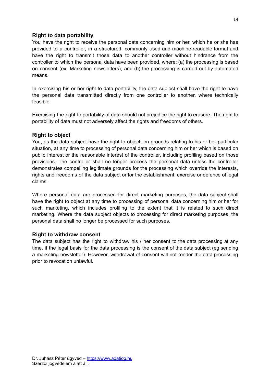# <span id="page-15-0"></span>**Right to data portability**

You have the right to receive the personal data concerning him or her, which he or she has provided to a controller, in a structured, commonly used and machine-readable format and have the right to transmit those data to another controller without hindrance from the controller to which the personal data have been provided, where: (a) the processing is based on consent (ex. Marketing newsletters); and (b) the processing is carried out by automated means.

In exercising his or her right to data portability, the data subject shall have the right to have the personal data transmitted directly from one controller to another, where technically feasible.

Exercising the right to portability of data should not prejudice the right to erasure. The right to portability of data must not adversely affect the rights and freedoms of others.

# <span id="page-15-1"></span>**Right to object**

You, as the data subject have the right to object, on grounds relating to his or her particular situation, at any time to processing of personal data concerning him or her which is based on public interest or the reasonable interest of the controller, including profiling based on those provisions. The controller shall no longer process the personal data unless the controller demonstrates compelling legitimate grounds for the processing which override the interests, rights and freedoms of the data subject or for the establishment, exercise or defence of legal claims.

Where personal data are processed for direct marketing purposes, the data subject shall have the right to object at any time to processing of personal data concerning him or her for such marketing, which includes profiling to the extent that it is related to such direct marketing. Where the data subject objects to processing for direct marketing purposes, the personal data shall no longer be processed for such purposes.

# <span id="page-15-2"></span>**Right to withdraw consent**

The data subject has the right to withdraw his / her consent to the data processing at any time, if the legal basis for the data processing is the consent of the data subject (eg sending a marketing newsletter). However, withdrawal of consent will not render the data processing prior to revocation unlawful.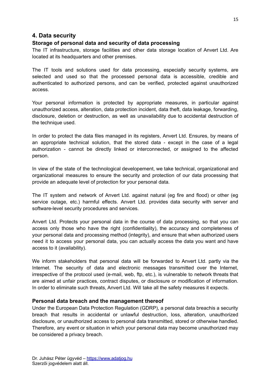# <span id="page-16-0"></span>**4. Data security**

# <span id="page-16-1"></span>**Storage of personal data and security of data processing**

The IT infrastructure, storage facilities and other data storage location of Anvert Ltd. Are located at its headquarters and other premises.

The IT tools and solutions used for data processing, especially security systems, are selected and used so that the processed personal data is accessible, credible and authenticated to authorized persons, and can be verified, protected against unauthorized access.

Your personal information is protected by appropriate measures, in particular against unauthorized access, alteration, data protection incident, data theft, data leakage, forwarding, disclosure, deletion or destruction, as well as unavailability due to accidental destruction of the technique used.

In order to protect the data files managed in its registers, Anvert Ltd. Ensures, by means of an appropriate technical solution, that the stored data - except in the case of a legal authorization - cannot be directly linked or interconnected, or assigned to the affected person.

In view of the state of the technological developement, we take technical, organizational and organizational measures to ensure the security and protection of our data processing that provide an adequate level of protection for your personal data.

The IT system and network of Anvert Ltd. against natural (eg fire and flood) or other (eg service outage, etc.) harmful effects. Anvert Ltd. provides data security with server and software-level security procedures and services.

Anvert Ltd. Protects your personal data in the course of data processing, so that you can access only those who have the right (confidentiality), the accuracy and completeness of your personal data and processing method (integrity), and ensure that when authorized users need it to access your personal data, you can actually access the data you want and have access to it (availability).

We inform stakeholders that personal data will be forwarded to Anvert Ltd. partly via the Internet. The security of data and electronic messages transmitted over the Internet, irrespective of the protocol used (e-mail, web, ftp, etc.), is vulnerable to network threats that are aimed at unfair practices, contract disputes, or disclosure or modification of information. In order to eliminate such threats, Anvert Ltd. Will take all the safety measures it expects.

# <span id="page-16-2"></span>**Personal data breach and the management thereof**

Under the European Data Protection Regulation (GDRP), a personal data breachis a security breach that results in accidental or unlawful destruction, loss, alteration, unauthorized disclosure, or unauthorized access to personal data transmitted, stored or otherwise handled. Therefore, any event or situation in which your personal data may become unauthorized may be considered a privacy breach.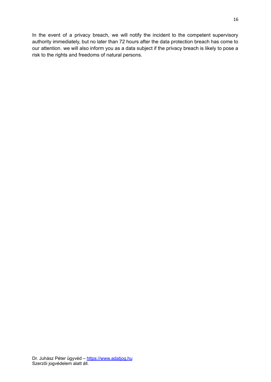In the event of a privacy breach, we will notify the incident to the competent supervisory authority immediately, but no later than 72 hours after the data protection breach has come to our attention. we will also inform you as a data subject if the privacy breach is likely to pose a risk to the rights and freedoms of natural persons.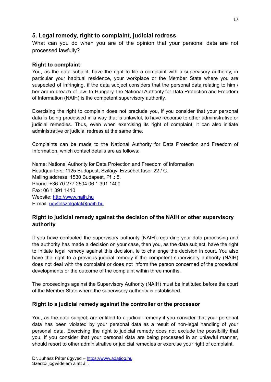# <span id="page-18-0"></span>**5. Legal remedy, right to complaint, judicial redress**

What can you do when you are of the opinion that your personal data are not processed lawfully?

# <span id="page-18-1"></span>**Right to complaint**

You, as the data subject, have the right to file a complaint with a supervisory authority, in particular your habitual residence, your workplace or the Member State where you are suspected of infringing, if the data subject considers that the personal data relating to him / her are in breach of law. In Hungary, the National Authority for Data Protection and Freedom of Information (NAIH) is the competent supervisory authority.

Exercising the right to complain does not preclude you, if you consider that your personal data is being processed in a way that is unlawful, to have recourse to other administrative or judicial remedies. Thus, even when exercising its right of complaint, it can also initiate administrative or judicial redress at the same time.

Complaints can be made to the National Authority for Data Protection and Freedom of Information, which contact details are as follows:

Name: National Authority for Data Protection and Freedom of Information Headquarters: 1125 Budapest, Szilágyi Erzsébet fasor 22 / C. Mailing address: 1530 Budapest, Pf .: 5. Phone: +36 70 277 2504 06 1 391 1400 Fax: 06 1 391 1410 Website: <http://www.naih.hu> E-mail: [ugyfelszolgalat@naih.hu](mailto:ugyfelszolgalat@naih.hu)

# <span id="page-18-2"></span>**Right to judicial remedy against the decision of the NAIH or other supervisory authority**

If you have contacted the supervisory authority (NAIH) regarding your data processing and the authority has made a decision on your case, then you, as the data subject, have the right to initiate legal remedy against this decision, ie to challenge the decision in court. You also have the right to a previous judicial remedy if the competent supervisory authority (NAIH) does not deal with the complaint or does not inform the person concerned of the procedural developments or the outcome of the complaint within three months.

The proceedings against the Supervisory Authority (NAIH) must be instituted before the court of the Member State where the supervisory authority is established.

# <span id="page-18-3"></span>**Right to a judicial remedy against the controller or the processor**

You, as the data subject, are entitled to a judicial remedy if you consider that your personal data has been violated by your personal data as a result of non-legal handling of your personal data. Exercising the right to judicial remedy does not exclude the possibility that you, if you consider that your personal data are being processed in an unlawful manner, should resort to other administrative or judicial remedies or exercise your right of complaint.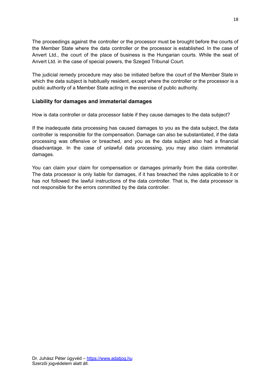The proceedings against the controller or the processor must be brought before the courts of the Member State where the data controller or the processor is established. In the case of Anvert Ltd., the court of the place of business is the Hungarian courts. While the seat of Anvert Ltd. in the case of special powers, the Szeged Tribunal Court.

The judicial remedy procedure may also be initiated before the court of the Member State in which the data subject is habitually resident, except where the controller or the processor is a public authority of a Member State acting in the exercise of public authority.

# <span id="page-19-0"></span>**Liability for damages and immaterial damages**

How is data controller or data processor liable if they cause damages to the data subject?

If the inadequate data processing has caused damages to you as the data subject, the data controller is responsible for the compensation. Damage can also be substantiated, if the data processing was offensive or breached, and you as the data subject also had a financial disadvantage. In the case of unlawful data processing, you may also claim immaterial damages.

You can claim your claim for compensation or damages primarily from the data controller. The data processor is only liable for damages, if it has breached the rules applicable to it or has not followed the lawful instructions of the data controller. That is, the data processor is not responsible for the errors committed by the data controller.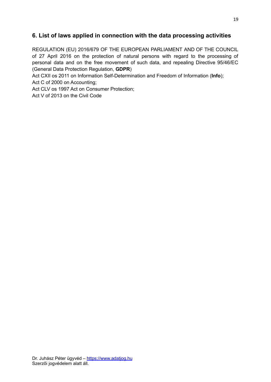# <span id="page-20-0"></span>**6. List of laws applied in connection with the data processing activities**

REGULATION (EU) 2016/679 OF THE EUROPEAN PARLIAMENT AND OF THE COUNCIL of 27 April 2016 on the protection of natural persons with regard to the processing of personal data and on the free movement of such data, and repealing Directive 95/46/EC (General Data Protection Regulation, **GDPR**)

Act CXII os 2011 on Information Self-Determination and Freedom of Information (**Info**);

Act C of 2000 on Accounting;

Act CLV os 1997 Act on Consumer Protection;

Act V of 2013 on the Civil Code